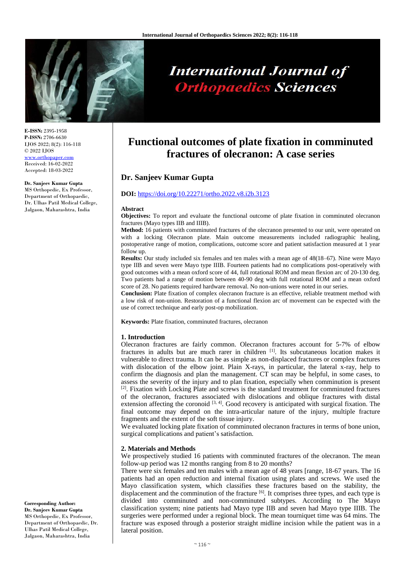

# **International Journal of Orthopaedics Sciences**

**E-ISSN:** 2395-1958 **P-ISSN:** 2706-6630 IJOS 2022; 8(2): 116-118 © 2022 IJOS [www.orthopaper.com](http://www.orthopaper.com/) Received: 16-02-2022

#### **Dr. Sanjeev Kumar Gupta**

Accepted: 18-03-2022

MS Orthopedic, Ex Professor, Department of Orthopaedic, Dr. Ulhas Patil Medical College, Jalgaon, Maharashtra, India

# **Functional outcomes of plate fixation in comminuted fractures of olecranon: A case series**

# **Dr. Sanjeev Kumar Gupta**

### **DOI:** <https://doi.org/10.22271/ortho.2022.v8.i2b.3123>

#### **Abstract**

**Objectives:** To report and evaluate the functional outcome of plate fixation in comminuted olecranon fractures (Mayo types IIB and IIIB).

**Method:** 16 patients with comminuted fractures of the olecranon presented to our unit, were operated on with a locking Olecranon plate. Main outcome measurements included radiographic healing, postoperative range of motion, complications, outcome score and patient satisfaction measured at 1 year follow up.

**Results:** Our study included six females and ten males with a mean age of 48(18–67). Nine were Mayo type IIB and seven were Mayo type IIIB. Fourteen patients had no complications post-operatively with good outcomes with a mean oxford score of 44, full rotational ROM and mean flexion arc of 20-130 deg. Two patients had a range of motion between 40-90 deg with full rotational ROM and a mean oxford score of 28. No patients required hardware removal. No non-unions were noted in our series.

**Conclusion:** Plate fixation of complex olecranon fracture is an effective, reliable treatment method with a low risk of non-union. Restoration of a functional flexion arc of movement can be expected with the use of correct technique and early post-op mobilization.

**Keywords:** Plate fixation, comminuted fractures, olecranon

#### **1. Introduction**

Olecranon fractures are fairly common. Olecranon fractures account for 5-7% of elbow fractures in adults but are much rarer in children <sup>[1]</sup>. Its subcutaneous location makes it vulnerable to direct trauma. It can be as simple as non-displaced fractures or complex fractures with dislocation of the elbow joint. Plain X-rays, in particular, the lateral x-ray, help to confirm the diagnosis and plan the management. CT scan may be helpful, in some cases, to assess the severity of the injury and to plan fixation, especially when comminution is present  $[2]$ . Fixation with Locking Plate and screws is the standard treatment for comminuted fractures of the olecranon, fractures associated with dislocations and oblique fractures with distal extension affecting the coronoid  $[3, 4]$ . Good recovery is anticipated with surgical fixation. The final outcome may depend on the intra-articular nature of the injury, multiple fracture fragments and the extent of the soft tissue injury.

We evaluated locking plate fixation of comminuted olecranon fractures in terms of bone union, surgical complications and patient's satisfaction.

#### **2. Materials and Methods**

We prospectively studied 16 patients with comminuted fractures of the olecranon. The mean follow-up period was 12 months ranging from 8 to 20 months?

There were six females and ten males with a mean age of 48 years [range, 18-67 years. The 16 patients had an open reduction and internal fixation using plates and screws. We used the Mayo classification system, which classifies these fractures based on the stability, the displacement and the comminution of the fracture  $^{[6]}$ . It comprises three types, and each type is divided into comminuted and non-comminuted subtypes. According to The Mayo classification system; nine patients had Mayo type IIB and seven had Mayo type IIIB. The surgeries were performed under a regional block. The mean tourniquet time was 64 mins. The fracture was exposed through a posterior straight midline incision while the patient was in a lateral position.

**Corresponding Author: Dr. Sanjeev Kumar Gupta** MS Orthopedic, Ex Professor, Department of Orthopaedic, Dr. Ulhas Patil Medical College, Jalgaon, Maharashtra, India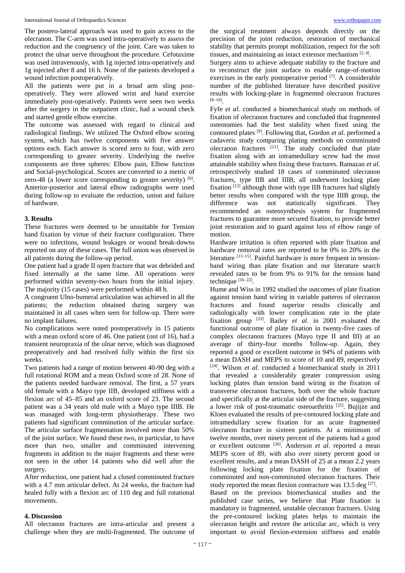#### International Journal of Orthopaedics Sciences [www.orthopaper.com](http://www.orthopaper.com/)

The postero-lateral approach was used to gain access to the olecranon. The C-arm was used intra-operatively to assess the reduction and the congruency of the joint. Care was taken to protect the ulnar nerve throughout the procedure. Cefotaxime was used intravenously, with 1g injected intra-operatively and 1g injected after 8 and 16 h. None of the patients developed a wound infection postoperatively.

All the patients were put in a broad arm sling postoperatively. They were allowed wrist and hand exercise immediately post-operatively. Patients were seen two weeks after the surgery in the outpatient clinic, had a wound check and started gentle elbow exercise.

The outcome was assessed with regard to clinical and radiological findings. We utilized The Oxford elbow scoring system, which has twelve components with five answer options each. Each answer is scored zero to four, with zero corresponding to greater severity. Underlying the twelve components are three spheres: Elbow pain, Elbow function and Social-psychological. Scores are converted to a metric of zero-48 (a lower score corresponding to greater severity)  $[6]$ . Anterior-posterior and lateral elbow radiographs were used during follow-up to evaluate the reduction, union and failure of hardware.

# **3. Results**

These fractures were deemed to be unsuitable for Tension band fixation by virtue of their fracture configuration. There were no infections, wound leakages or wound break-downs reported on any of these cases. The full union was observed in all patients during the follow-up period.

One patient had a grade II open fracture that was debrided and fixed internally at the same time. All operations were performed within seventy-two hours from the initial injury. The majority (15 cases) were performed within 48 h.

A congruent Ulno-humeral articulation was achieved in all the patients; the reduction obtained during surgery was maintained in all cases when seen for follow-up. There were no implant failures.

No complications were noted postoperatively in 15 patients with a mean oxford score of 46. One patient (out of 16), had a transient neuropraxia of the ulnar nerve, which was diagnosed preoperatively and had resolved fully within the first six weeks.

Two patients had a range of motion between 40-90 deg with a full rotational ROM and a mean Oxford score of 28. None of the patients needed hardware removal. The first, a 57 years old female with a Mayo type IIB, developed stiffness with a flexion arc of 45–85 and an oxford score of 23. The second patient was a 34 years old male with a Mayo type IIIB. He was managed with long-term physiotherapy. These two patients had significant comminution of the articular surface. The articular surface fragmentation involved more than 50% of the joint surface. We found these two, in particular, to have more than two, smaller and comminuted intervening fragments in addition to the major fragments and these were not seen in the other 14 patients who did well after the surgery.

After reduction, one patient had a closed comminuted fracture with a 4.7 mm articular defect. At 24 weeks, the fracture had healed fully with a flexion arc of 110 deg and full rotational movements.

# **4. Discussion**

All olecranon fractures are intra-articular and present a challenge when they are multi-fragmented. The outcome of

the surgical treatment always depends directly on the precision of the joint reduction, restoration of mechanical stability that permits prompt mobilization, respect for the soft tissues, and maintaining an intact extensor mechanism [2, 4].

Surgery aims to achieve adequate stability to the fracture and to reconstruct the joint surface to enable range-of-motion exercises in the early postoperative period [7]. A considerable number of the published literature have described positive results with locking-plate in fragmented olecranon fractures [8–10] .

Fyfe *et al*. conducted a biomechanical study on methods of fixation of olecranon fractures and concluded that fragmented osteotomies had the best stability when fixed using the contoured plates [9]. Following that, Gordon *et al*. performed a cadaveric study comparing plating methods on comminuted olecranon fractures  $[11]$ . The study concluded that plate fixation along with an intramedullary screw had the most attainable stability when fixing these fractures. Ramazan *et al*. retrospectively studied 18 cases of comminuted olecranon fractures, type IIB and IIIB, all underwent locking plate fixation<sup>[12]</sup> although those with type IIB fractures had slightly better results when compared with the type IIIB group, the difference was not statistically significant. They recommended an osteosynthesis system for fragmented fractures to guarantee more secured fixation, to provide better joint restoration and to guard against loss of elbow range of motion.

Hardware irritation is often reported with plate fixation and hardware removal rates are reported to be  $0\%$  to 20% in the literature  $[13-15]$ . Painful hardware is more frequent in tensionband wiring than plate fixation and our literature search revealed rates to be from 9% to 91% for the tension band technique [16–22].

Hume and Wiss in 1992 studied the outcomes of plate fixation against tension band wiring in variable patterns of olecranon fractures and found superior results clinically and radiologically with lower complication rate in the plate fixation group [23]. Bailey *et al*. in 2001 evaluated the functional outcome of plate fixation in twenty-five cases of complex olecranon fractures (Mayo type II and III) at an average of thirty-four months 'follow-up. Again, they reported a good or excellent outcome in 94% of patients with a mean DASH and MEPS to score of 10 and 89, respectively [24]. Wilson *et al*. conducted a biomechanical study in 2011 that revealed a considerably greater compression using locking plates than tension band wiring in the fixation of transverse olecranon fractures, both over the whole fracture and specifically at the articular side of the fracture, suggesting a lower risk of post-traumatic osteoarthritis [25]. Bujijze and Kloen evaluated the results of pre-contoured locking plate and intramedullary screw fixation for an acute fragmented olecranon fracture in sixteen patients. At a minimum of twelve months, over ninety percent of the patients had a good or excellent outcome [26]. Anderson *et al*. reported a mean MEPS score of 89, with also over ninety percent good or excellent results, and a mean DASH of 25 at a mean 2.2 years following locking plate fixation for the fixation of comminuted and non-comminuted olecranon fractures. Their study reported the mean flexion contracture was  $13.5$  deg  $^{[27]}$ . Based on the previous biomechanical studies and the published case series, we believe that Plate fixation is mandatory in fragmented, unstable olecranon fractures. Using the pre-contoured locking plates helps to maintain the olecranon height and restore the articular arc, which is very important to avoid flexion-extension stiffness and enable